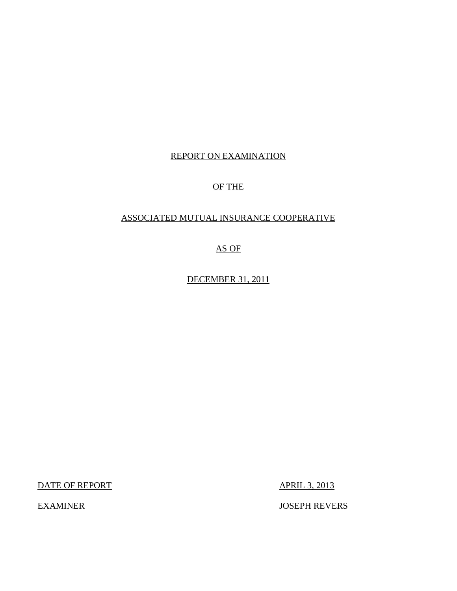## REPORT ON EXAMINATION

# OF THE

# ASSOCIATED MUTUAL INSURANCE COOPERATIVE

AS OF

DECEMBER 31, 2011

DATE OF REPORT APRIL 3, 2013

EXAMINER JOSEPH REVERS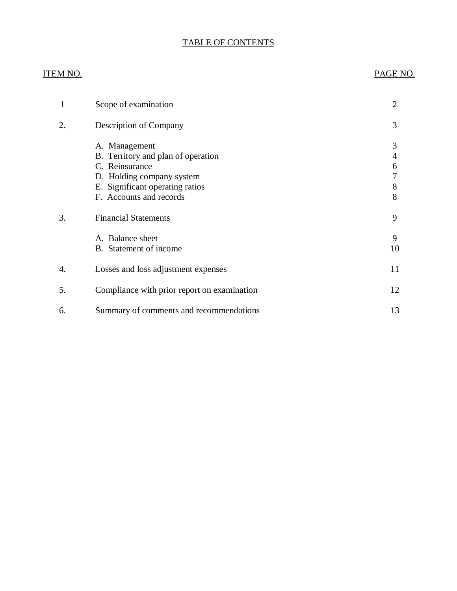# TABLE OF CONTENTS

## ITEM NO. PAGE NO.

|    | Scope of examination                                                                                                                                             | $\overline{2}$             |
|----|------------------------------------------------------------------------------------------------------------------------------------------------------------------|----------------------------|
| 2. | <b>Description of Company</b>                                                                                                                                    | 3                          |
|    | A. Management<br>B. Territory and plan of operation<br>C. Reinsurance<br>D. Holding company system<br>E. Significant operating ratios<br>F. Accounts and records | 3<br>4<br>6<br>7<br>8<br>8 |
| 3. | <b>Financial Statements</b>                                                                                                                                      | 9                          |
|    | A. Balance sheet<br>B. Statement of income                                                                                                                       | 9<br>10                    |
| 4. | Losses and loss adjustment expenses                                                                                                                              | 11                         |
| 5. | Compliance with prior report on examination                                                                                                                      | 12                         |
| 6. | Summary of comments and recommendations                                                                                                                          | 13                         |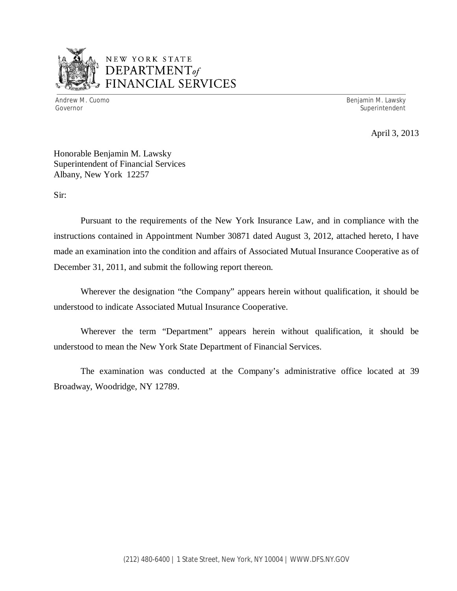

# NEW YORK STATE *DEPARTMENTof*  FINANCIAL SERVICES

Andrew M. Cuomo **Benjamin M. Lawsky** Governor Superintendent Superintendent Superintendent Superintendent Superintendent Superintendent Superintendent

April 3, 2013

Honorable Benjamin M. Lawsky Superintendent of Financial Services Albany, New York 12257

Sir:

Pursuant to the requirements of the New York Insurance Law, and in compliance with the instructions contained in Appointment Number 30871 dated August 3, 2012, attached hereto, I have made an examination into the condition and affairs of Associated Mutual Insurance Cooperative as of December 31, 2011, and submit the following report thereon.

Wherever the designation "the Company" appears herein without qualification, it should be understood to indicate Associated Mutual Insurance Cooperative.

Wherever the term "Department" appears herein without qualification, it should be understood to mean the New York State Department of Financial Services.

The examination was conducted at the Company's administrative office located at 39 Broadway, Woodridge, NY 12789.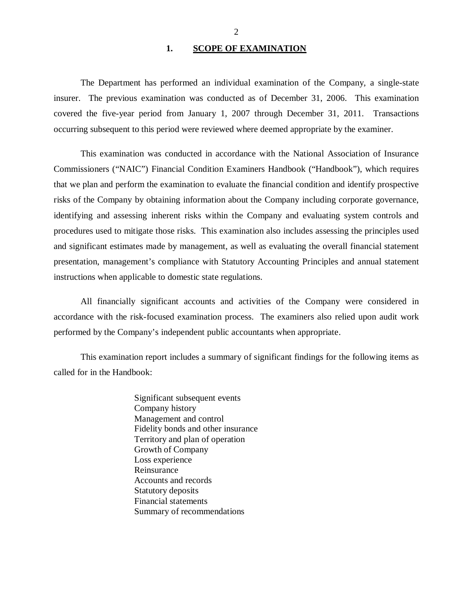#### 1. SCOPE OF EXAMINATION

<span id="page-3-0"></span>The Department has performed an individual examination of the Company*,* a single-state insurer. The previous examination was conducted as of December 31, 2006. This examination covered the five-year period from January 1, 2007 through December 31, 2011. Transactions occurring subsequent to this period were reviewed where deemed appropriate by the examiner.

This examination was conducted in accordance with the National Association of Insurance Commissioners ("NAIC") Financial Condition Examiners Handbook ("Handbook"), which requires that we plan and perform the examination to evaluate the financial condition and identify prospective risks of the Company by obtaining information about the Company including corporate governance, identifying and assessing inherent risks within the Company and evaluating system controls and procedures used to mitigate those risks. This examination also includes assessing the principles used and significant estimates made by management, as well as evaluating the overall financial statement presentation, management's compliance with Statutory Accounting Principles and annual statement instructions when applicable to domestic state regulations.

All financially significant accounts and activities of the Company were considered in accordance with the risk-focused examination process. The examiners also relied upon audit work performed by the Company's independent public accountants when appropriate.

This examination report includes a summary of significant findings for the following items as called for in the Handbook:

> Significant subsequent events Company history Management and control Fidelity bonds and other insurance Territory and plan of operation Growth of Company Loss experience Reinsurance Accounts and records Statutory deposits Financial statements Summary of recommendations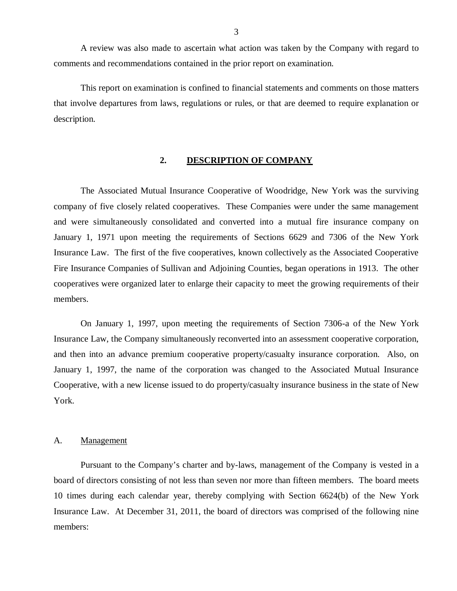<span id="page-4-0"></span>A review was also made to ascertain what action was taken by the Company with regard to comments and recommendations contained in the prior report on examination.

This report on examination is confined to financial statements and comments on those matters that involve departures from laws, regulations or rules, or that are deemed to require explanation or description.

#### **2. DESCRIPTION OF COMPANY**

The Associated Mutual Insurance Cooperative of Woodridge, New York was the surviving company of five closely related cooperatives. These Companies were under the same management and were simultaneously consolidated and converted into a mutual fire insurance company on January 1, 1971 upon meeting the requirements of Sections 6629 and 7306 of the New York Insurance Law. The first of the five cooperatives, known collectively as the Associated Cooperative Fire Insurance Companies of Sullivan and Adjoining Counties, began operations in 1913. The other cooperatives were organized later to enlarge their capacity to meet the growing requirements of their members.

On January 1, 1997, upon meeting the requirements of Section 7306-a of the New York Insurance Law, the Company simultaneously reconverted into an assessment cooperative corporation, and then into an advance premium cooperative property/casualty insurance corporation. Also, on January 1, 1997, the name of the corporation was changed to the Associated Mutual Insurance Cooperative, with a new license issued to do property/casualty insurance business in the state of New York.

#### A. Management

Pursuant to the Company's charter and by-laws, management of the Company is vested in a board of directors consisting of not less than seven nor more than fifteen members. The board meets 10 times during each calendar year, thereby complying with Section 6624(b) of the New York Insurance Law. At December 31, 2011, the board of directors was comprised of the following nine members: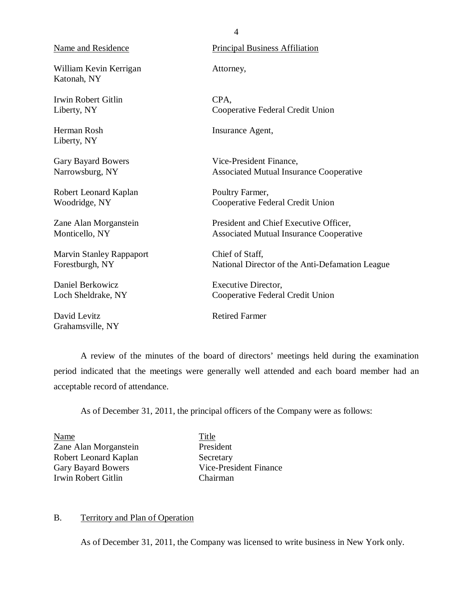William Kevin Kerrigan Katonah, NY

Irwin Robert Gitlin Liberty, NY

Herman Rosh Liberty, NY

Gary Bayard Bowers Narrowsburg, NY

Robert Leonard Kaplan Woodridge, NY

Zane Alan Morganstein Monticello, NY

Marvin Stanley Rappaport Forestburgh, NY

Daniel Berkowicz Loch Sheldrake, NY

David Levitz Grahamsville, NY

<span id="page-5-0"></span>Name and Residence Principal Business Affiliation

Attorney,

CPA, Cooperative Federal Credit Union

Insurance Agent,

Vice-President Finance, Associated Mutual Insurance Cooperative

Poultry Farmer, Cooperative Federal Credit Union

President and Chief Executive Officer, Associated Mutual Insurance Cooperative

Chief of Staff, National Director of the Anti-Defamation League

Executive Director, Cooperative Federal Credit Union

Retired Farmer

A review of the minutes of the board of directors' meetings held during the examination period indicated that the meetings were generally well attended and each board member had an acceptable record of attendance.

As of December 31, 2011, the principal officers of the Company were as follows:

Name Title Zane Alan Morganstein President Robert Leonard Kaplan Secretary Irwin Robert Gitlin Chairman

Gary Bayard Bowers Vice-President Finance

#### B. Territory and Plan of Operation

As of December 31, 2011, the Company was licensed to write business in New York only.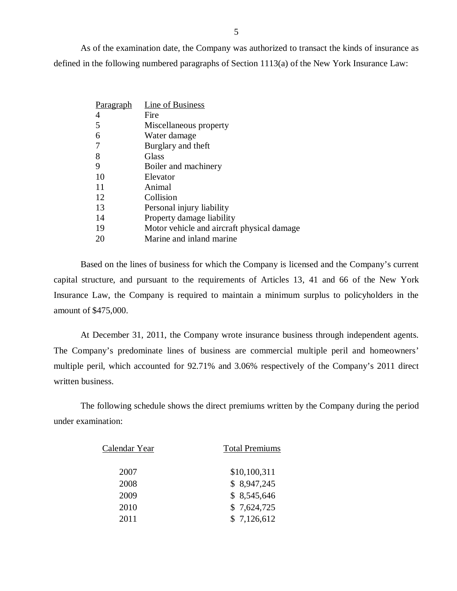As of the examination date, the Company was authorized to transact the kinds of insurance as defined in the following numbered paragraphs of Section 1113(a) of the New York Insurance Law:

| Paragraph | <b>Line of Business</b>                    |
|-----------|--------------------------------------------|
| 4         | Fire                                       |
| 5         | Miscellaneous property                     |
| 6         | Water damage                               |
| 7         | Burglary and theft                         |
| 8         | Glass                                      |
| 9         | Boiler and machinery                       |
| 10        | Elevator                                   |
| 11        | Animal                                     |
| 12        | Collision                                  |
| 13        | Personal injury liability                  |
| 14        | Property damage liability                  |
| 19        | Motor vehicle and aircraft physical damage |
| 20        | Marine and inland marine                   |

Based on the lines of business for which the Company is licensed and the Company's current capital structure, and pursuant to the requirements of Articles 13, 41 and 66 of the New York Insurance Law, the Company is required to maintain a minimum surplus to policyholders in the amount of \$475,000.

At December 31, 2011, the Company wrote insurance business through independent agents. The Company's predominate lines of business are commercial multiple peril and homeowners' multiple peril, which accounted for 92.71% and 3.06% respectively of the Company's 2011 direct written business.

The following schedule shows the direct premiums written by the Company during the period under examination:

| Calendar Year | <b>Total Premiums</b> |  |  |
|---------------|-----------------------|--|--|
| 2007          | \$10,100,311          |  |  |
| 2008          | \$8,947,245           |  |  |
| 2009          | \$8,545,646           |  |  |
| 2010          | \$7,624,725           |  |  |
| 2011          | \$7,126,612           |  |  |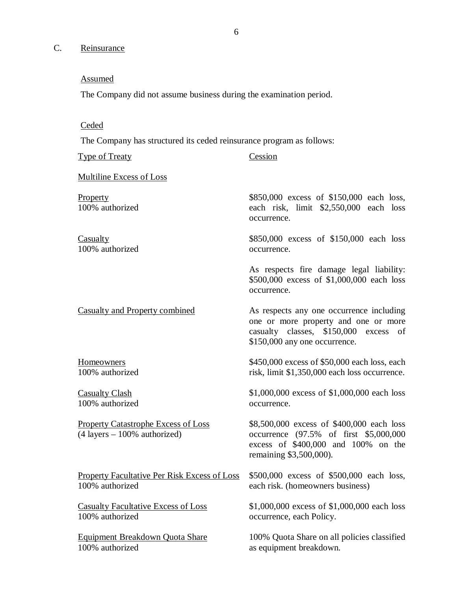# <span id="page-7-0"></span>C. Reinsurance

## Assumed

The Company did not assume business during the examination period.

# **Ceded**

The Company has structured its ceded reinsurance program as follows:

| Type of Treaty                                                                                | Cession                                                                                                                                                       |  |  |
|-----------------------------------------------------------------------------------------------|---------------------------------------------------------------------------------------------------------------------------------------------------------------|--|--|
| <b>Multiline Excess of Loss</b>                                                               |                                                                                                                                                               |  |  |
| <b>Property</b><br>100% authorized                                                            | \$850,000 excess of \$150,000 each loss,<br>each risk, limit \$2,550,000 each loss<br>occurrence.                                                             |  |  |
| <b>Casualty</b>                                                                               | \$850,000 excess of \$150,000 each loss                                                                                                                       |  |  |
| 100% authorized                                                                               | occurrence.                                                                                                                                                   |  |  |
|                                                                                               | As respects fire damage legal liability:<br>\$500,000 excess of \$1,000,000 each loss<br>occurrence.                                                          |  |  |
| <b>Casualty and Property combined</b>                                                         | As respects any one occurrence including<br>one or more property and one or more<br>casualty classes, \$150,000 excess<br>οf<br>\$150,000 any one occurrence. |  |  |
| <b>Homeowners</b>                                                                             | \$450,000 excess of \$50,000 each loss, each                                                                                                                  |  |  |
| 100% authorized                                                                               | risk, limit \$1,350,000 each loss occurrence.                                                                                                                 |  |  |
| <b>Casualty Clash</b>                                                                         | \$1,000,000 excess of \$1,000,000 each loss                                                                                                                   |  |  |
| 100% authorized                                                                               | occurrence.                                                                                                                                                   |  |  |
| <b>Property Catastrophe Excess of Loss</b><br>$(4 \text{ layers} - 100\% \text{ authorized})$ | \$8,500,000 excess of \$400,000 each loss<br>occurrence (97.5% of first \$5,000,000<br>excess of \$400,000 and 100% on the<br>remaining \$3,500,000).         |  |  |
| <b>Property Facultative Per Risk Excess of Loss</b>                                           | \$500,000 excess of \$500,000 each loss,                                                                                                                      |  |  |
| 100% authorized                                                                               | each risk. (homeowners business)                                                                                                                              |  |  |
| <b>Casualty Facultative Excess of Loss</b>                                                    | \$1,000,000 excess of \$1,000,000 each loss                                                                                                                   |  |  |
| 100% authorized                                                                               | occurrence, each Policy.                                                                                                                                      |  |  |
| Equipment Breakdown Quota Share                                                               | 100% Quota Share on all policies classified                                                                                                                   |  |  |
| 100% authorized                                                                               | as equipment breakdown.                                                                                                                                       |  |  |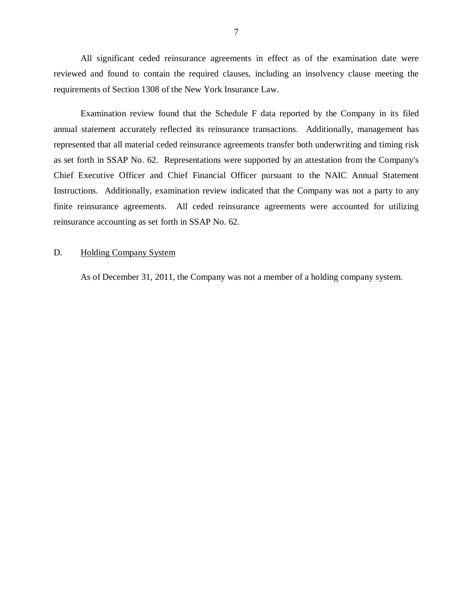<span id="page-8-0"></span>All significant ceded reinsurance agreements in effect as of the examination date were reviewed and found to contain the required clauses, including an insolvency clause meeting the requirements of Section 1308 of the New York Insurance Law.

Examination review found that the Schedule F data reported by the Company in its filed annual statement accurately reflected its reinsurance transactions. Additionally, management has represented that all material ceded reinsurance agreements transfer both underwriting and timing risk as set forth in SSAP No. 62. Representations were supported by an attestation from the Company's Chief Executive Officer and Chief Financial Officer pursuant to the NAIC Annual Statement Instructions. Additionally, examination review indicated that the Company was not a party to any finite reinsurance agreements. All ceded reinsurance agreements were accounted for utilizing reinsurance accounting as set forth in SSAP No. 62.

#### D. Holding Company System

As of December 31, 2011, the Company was not a member of a holding company system.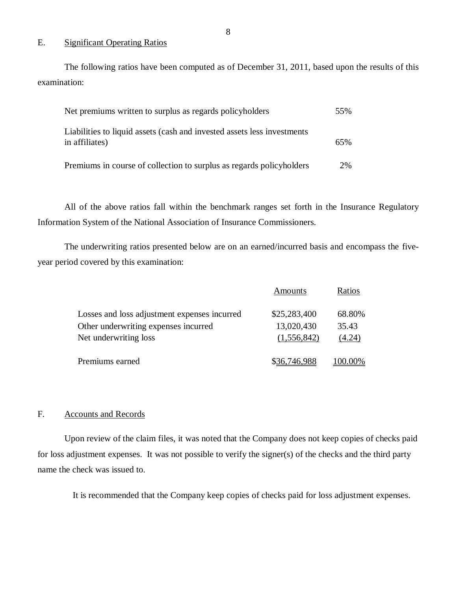### E. Significant Operating Ratios

The following ratios have been computed as of December 31, 2011, based upon the results of this examination:

| Net premiums written to surplus as regards policyholders                                  | 55% |
|-------------------------------------------------------------------------------------------|-----|
| Liabilities to liquid assets (cash and invested assets less investments<br>in affiliates) | 65% |
| Premiums in course of collection to surplus as regards policyholders                      | 2%  |

All of the above ratios fall within the benchmark ranges set forth in the Insurance Regulatory Information System of the National Association of Insurance Commissioners.

The underwriting ratios presented below are on an earned/incurred basis and encompass the fiveyear period covered by this examination:

|                                              | Amounts      | Ratios         |
|----------------------------------------------|--------------|----------------|
| Losses and loss adjustment expenses incurred | \$25,283,400 | 68.80%         |
| Other underwriting expenses incurred         | 13,020,430   | 35.43          |
| Net underwriting loss                        | (1,556,842)  | (4.24)         |
| Premiums earned                              | \$36,746,988 | <u>100.00%</u> |

#### F. Accounts and Records

Upon review of the claim files, it was noted that the Company does not keep copies of checks paid for loss adjustment expenses. It was not possible to verify the signer(s) of the checks and the third party name the check was issued to.

It is recommended that the Company keep copies of checks paid for loss adjustment expenses.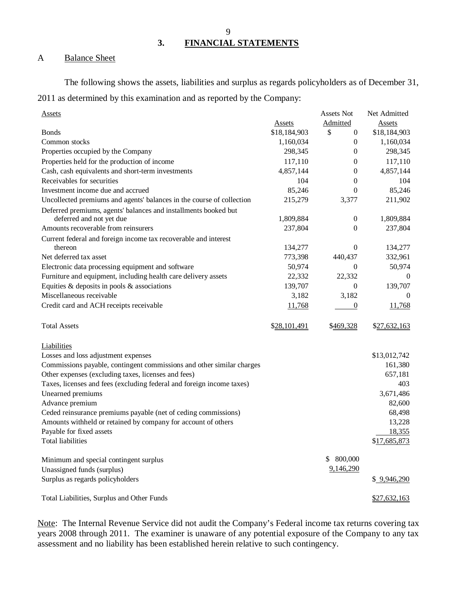**3. FINANCIAL STATEMENTS** 

## A Balance Sheet

The following shows the assets, liabilities and surplus as regards policyholders as of December 31, 2011 as determined by this examination and as reported by the Company:

| <b>Assets</b>                                                         |               | Assets Not         | Net Admitted  |
|-----------------------------------------------------------------------|---------------|--------------------|---------------|
|                                                                       | <b>Assets</b> | Admitted           | <b>Assets</b> |
| <b>Bonds</b>                                                          | \$18,184,903  | \$<br>$\mathbf{0}$ | \$18,184,903  |
| Common stocks                                                         | 1,160,034     | $\boldsymbol{0}$   | 1,160,034     |
| Properties occupied by the Company                                    | 298,345       | 0                  | 298,345       |
| Properties held for the production of income                          | 117,110       | $\mathbf{0}$       | 117,110       |
| Cash, cash equivalents and short-term investments                     | 4,857,144     | $\theta$           | 4,857,144     |
| Receivables for securities                                            | 104           | $\theta$           | 104           |
| Investment income due and accrued                                     | 85,246        | $\theta$           | 85,246        |
| Uncollected premiums and agents' balances in the course of collection | 215,279       | 3,377              | 211,902       |
| Deferred premiums, agents' balances and installments booked but       |               |                    |               |
| deferred and not yet due                                              | 1,809,884     | $\boldsymbol{0}$   | 1,809,884     |
| Amounts recoverable from reinsurers                                   | 237,804       | $\theta$           | 237,804       |
| Current federal and foreign income tax recoverable and interest       |               |                    |               |
| thereon                                                               | 134,277       | $\theta$           | 134,277       |
| Net deferred tax asset                                                | 773,398       | 440,437            | 332,961       |
| Electronic data processing equipment and software                     | 50,974        | $\theta$           | 50,974        |
| Furniture and equipment, including health care delivery assets        | 22,332        | 22,332             | 0             |
| Equities $\&$ deposits in pools $\&$ associations                     | 139,707       | $\theta$           | 139,707       |
| Miscellaneous receivable                                              | 3,182         | 3,182              | $\theta$      |
| Credit card and ACH receipts receivable                               | 11,768        | $\boldsymbol{0}$   | 11,768        |
|                                                                       |               |                    |               |
| <b>Total Assets</b>                                                   | \$28,101,491  | \$469,328          | \$27,632,163  |
|                                                                       |               |                    |               |
| Liabilities                                                           |               |                    |               |
| Losses and loss adjustment expenses                                   |               |                    | \$13,012,742  |
| Commissions payable, contingent commissions and other similar charges |               |                    | 161,380       |
| Other expenses (excluding taxes, licenses and fees)                   |               |                    | 657,181       |
| Taxes, licenses and fees (excluding federal and foreign income taxes) |               |                    | 403           |
| Unearned premiums                                                     |               |                    | 3,671,486     |
| Advance premium                                                       |               |                    | 82,600        |
| Ceded reinsurance premiums payable (net of ceding commissions)        |               |                    | 68,498        |
| Amounts withheld or retained by company for account of others         |               |                    | 13,228        |
| Payable for fixed assets                                              |               |                    | 18,355        |
| <b>Total liabilities</b>                                              |               |                    | \$17,685,873  |
|                                                                       |               |                    |               |
| Minimum and special contingent surplus                                |               | 800,000            |               |
| Unassigned funds (surplus)                                            |               | 9,146,290          |               |
| Surplus as regards policyholders                                      |               |                    | \$ 9,946,290  |
|                                                                       |               |                    |               |
| Total Liabilities, Surplus and Other Funds                            |               |                    | \$27,632,163  |

Note: The Internal Revenue Service did not audit the Company's Federal income tax returns covering tax years 2008 through 2011. The examiner is unaware of any potential exposure of the Company to any tax assessment and no liability has been established herein relative to such contingency.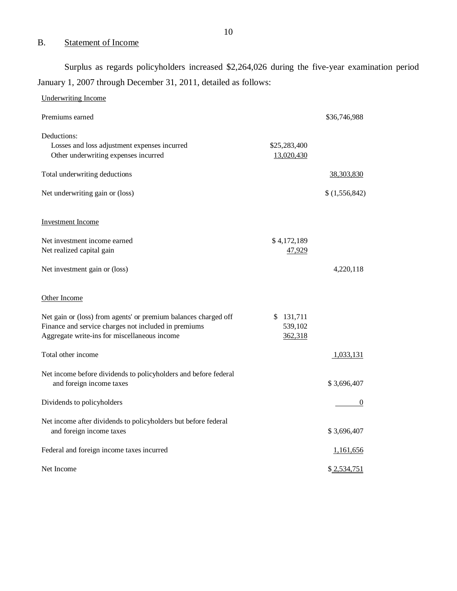# B. Statement of Income

Surplus as regards policyholders increased \$2,264,026 during the five-year examination period January 1, 2007 through December 31, 2011, detailed as follows:

| <b>Underwriting Income</b>                                                                  |               |              |
|---------------------------------------------------------------------------------------------|---------------|--------------|
| Premiums earned                                                                             |               | \$36,746,988 |
| Deductions:                                                                                 |               |              |
| Losses and loss adjustment expenses incurred                                                | \$25,283,400  |              |
| Other underwriting expenses incurred                                                        | 13,020,430    |              |
| Total underwriting deductions                                                               |               | 38,303,830   |
| Net underwriting gain or (loss)                                                             |               | (1,556,842)  |
| Investment Income                                                                           |               |              |
| Net investment income earned                                                                | \$4,172,189   |              |
| Net realized capital gain                                                                   | 47,929        |              |
| Net investment gain or (loss)                                                               |               | 4,220,118    |
| Other Income                                                                                |               |              |
| Net gain or (loss) from agents' or premium balances charged off                             | 131,711<br>\$ |              |
| Finance and service charges not included in premiums                                        | 539,102       |              |
| Aggregate write-ins for miscellaneous income                                                | 362,318       |              |
|                                                                                             |               |              |
| Total other income                                                                          |               | 1,033,131    |
| Net income before dividends to policyholders and before federal<br>and foreign income taxes |               | \$3,696,407  |
| Dividends to policyholders                                                                  |               | $\theta$     |
| Net income after dividends to policyholders but before federal<br>and foreign income taxes  |               | \$3,696,407  |
| Federal and foreign income taxes incurred                                                   |               | 1,161,656    |
| Net Income                                                                                  |               | \$2,534,751  |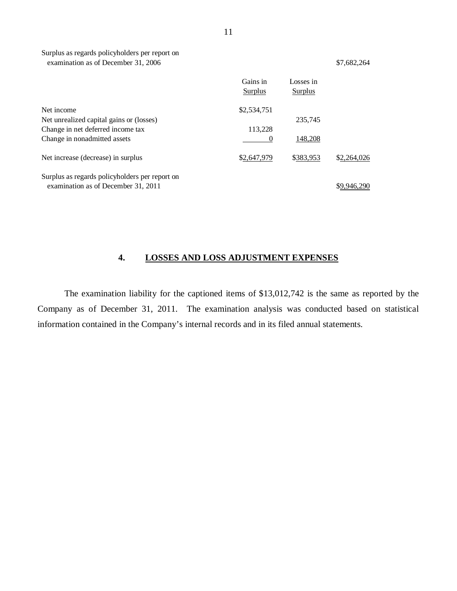Surplus as regards policyholders per report on examination as of December 31, 2006

| \$7,682,264 |  |
|-------------|--|
|             |  |

|                                                                                       | Gains in<br>Surplus | Losses in<br>Surplus |             |
|---------------------------------------------------------------------------------------|---------------------|----------------------|-------------|
| Net income                                                                            | \$2,534,751         |                      |             |
| Net unrealized capital gains or (losses)                                              |                     | 235,745              |             |
| Change in net deferred income tax                                                     | 113,228             |                      |             |
| Change in nonadmitted assets                                                          | 0                   | 148,208              |             |
| Net increase (decrease) in surplus                                                    | \$2,647,979         | \$383,953            | \$2,264,026 |
| Surplus as regards policyholders per report on<br>examination as of December 31, 2011 |                     |                      | \$9.946.290 |

# **4. LOSSES AND LOSS ADJUSTMENT EXPENSES**

The examination liability for the captioned items of \$13,012,742 is the same as reported by the Company as of December 31, 2011. The examination analysis was conducted based on statistical information contained in the Company's internal records and in its filed annual statements.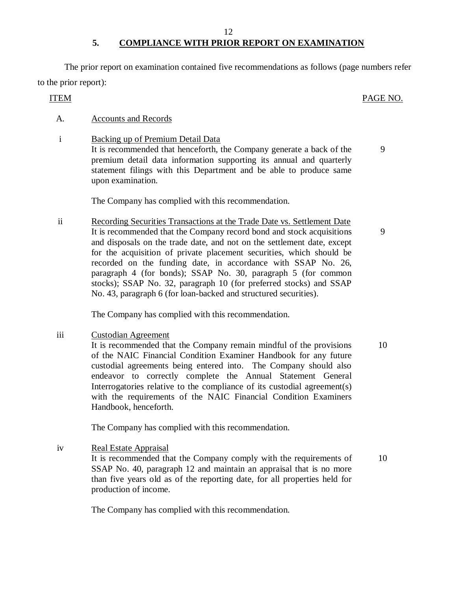# **5. COMPLIANCE WITH PRIOR REPORT ON EXAMINATION**

The prior report on examination contained five recommendations as follows (page numbers refer to the prior report):

### ITEM PAGE NO.

#### A. Accounts and Records

i Backing up of Premium Detail Data It is recommended that henceforth, the Company generate a back of the premium detail data information supporting its annual and quarterly statement filings with this Department and be able to produce same upon examination.

The Company has complied with this recommendation.

ii Recording Securities Transactions at the Trade Date vs. Settlement Date It is recommended that the Company record bond and stock acquisitions and disposals on the trade date, and not on the settlement date, except for the acquisition of private placement securities, which should be recorded on the funding date, in accordance with SSAP No. 26, paragraph 4 (for bonds); SSAP No. 30, paragraph 5 (for common stocks); SSAP No. 32, paragraph 10 (for preferred stocks) and SSAP No. 43, paragraph 6 (for loan-backed and structured securities).

The Company has complied with this recommendation.

iii Custodian Agreement

It is recommended that the Company remain mindful of the provisions of the NAIC Financial Condition Examiner Handbook for any future custodial agreements being entered into. The Company should also endeavor to correctly complete the Annual Statement General Interrogatories relative to the compliance of its custodial agreement(s) with the requirements of the NAIC Financial Condition Examiners Handbook, henceforth.

The Company has complied with this recommendation.

iv Real Estate Appraisal

It is recommended that the Company comply with the requirements of SSAP No. 40, paragraph 12 and maintain an appraisal that is no more than five years old as of the reporting date, for all properties held for production of income. 10

The Company has complied with this recommendation.

9

9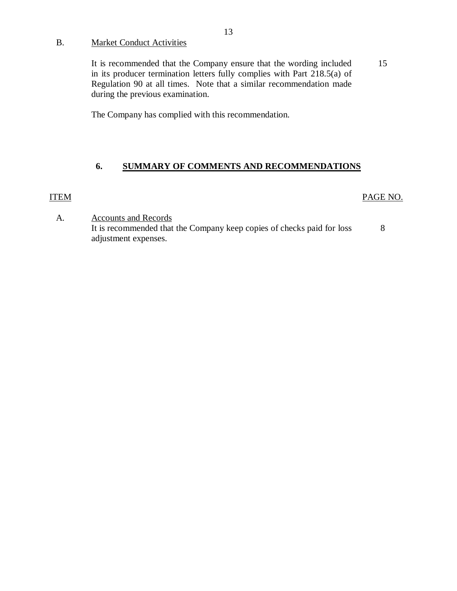## <span id="page-14-0"></span>B. Market Conduct Activities

It is recommended that the Company ensure that the wording included in its producer termination letters fully complies with Part 218.5(a) of Regulation 90 at all times. Note that a similar recommendation made during the previous examination. 15

The Company has complied with this recommendation.

## **6. SUMMARY OF COMMENTS AND RECOMMENDATIONS**

## ITEM

### PAGE NO.

A. Accounts and Records It is recommended that the Company keep copies of checks paid for loss adjustment expenses. 8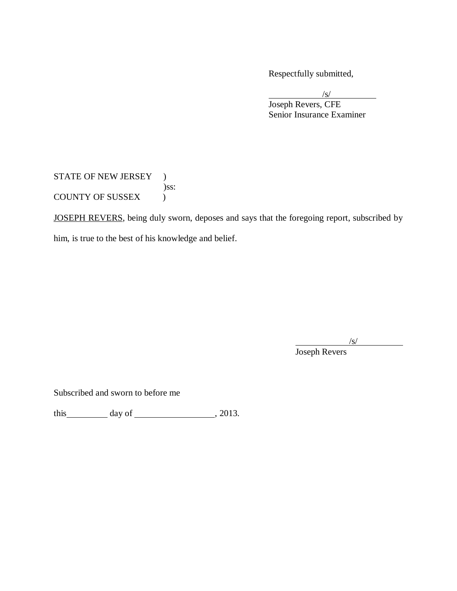Respectfully submitted,

/s/ Joseph Revers, CFE Senior Insurance Examiner

STATE OF NEW JERSEY ) )ss: COUNTY OF SUSSEX (

JOSEPH REVERS, being duly sworn, deposes and says that the foregoing report, subscribed by

him, is true to the best of his knowledge and belief.

 $\sqrt{s/}$ 

Joseph Revers

Subscribed and sworn to before me

this  $\_\_\_\_\_\$  day of  $\_\_\_\_\_\_\_\_\_\_\_\_$ , 2013.